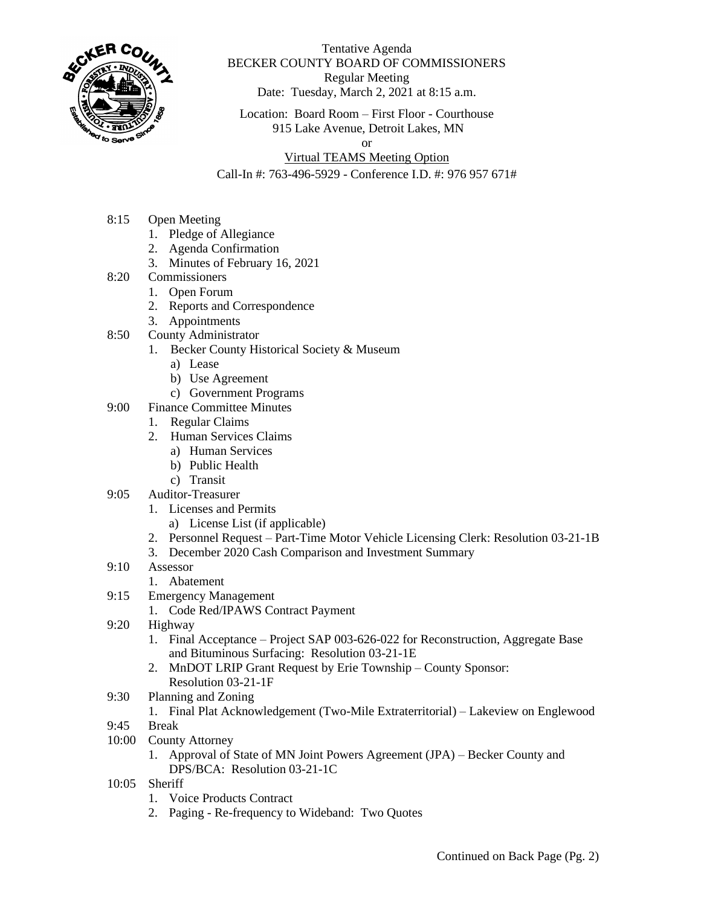

## Tentative Agenda BECKER COUNTY BOARD OF COMMISSIONERS Regular Meeting Date: Tuesday, March 2, 2021 at 8:15 a.m.

Location: Board Room – First Floor - Courthouse 915 Lake Avenue, Detroit Lakes, MN

or

## Virtual TEAMS Meeting Option

Call-In #: 763-496-5929 - Conference I.D. #: 976 957 671#

- 8:15 Open Meeting
	- 1. Pledge of Allegiance
	- 2. Agenda Confirmation
	- 3. Minutes of February 16, 2021
- 8:20 Commissioners
	- 1. Open Forum
	- 2. Reports and Correspondence
	- 3. Appointments
- 8:50 County Administrator
	- 1. Becker County Historical Society & Museum
		- a) Lease
		- b) Use Agreement
		- c) Government Programs
- 9:00 Finance Committee Minutes
	- 1. Regular Claims
	- 2. Human Services Claims
		- a) Human Services
		- b) Public Health
		- c) Transit
- 9:05 Auditor-Treasurer
	- 1. Licenses and Permits
		- a) License List (if applicable)
	- 2. Personnel Request Part-Time Motor Vehicle Licensing Clerk: Resolution 03-21-1B
	- 3. December 2020 Cash Comparison and Investment Summary
- 9:10 Assessor
	- 1. Abatement
- 9:15 Emergency Management
	- 1. Code Red/IPAWS Contract Payment
- 9:20 Highway
	- 1. Final Acceptance Project SAP 003-626-022 for Reconstruction, Aggregate Base and Bituminous Surfacing: Resolution 03-21-1E
	- 2. MnDOT LRIP Grant Request by Erie Township County Sponsor: Resolution 03-21-1F
- 9:30 Planning and Zoning

## 1. Final Plat Acknowledgement (Two-Mile Extraterritorial) – Lakeview on Englewood

- 9:45 Break
- 10:00 County Attorney
	- 1. Approval of State of MN Joint Powers Agreement (JPA) Becker County and DPS/BCA: Resolution 03-21-1C
- 10:05 Sheriff
	- 1. Voice Products Contract
	- 2. Paging Re-frequency to Wideband: Two Quotes